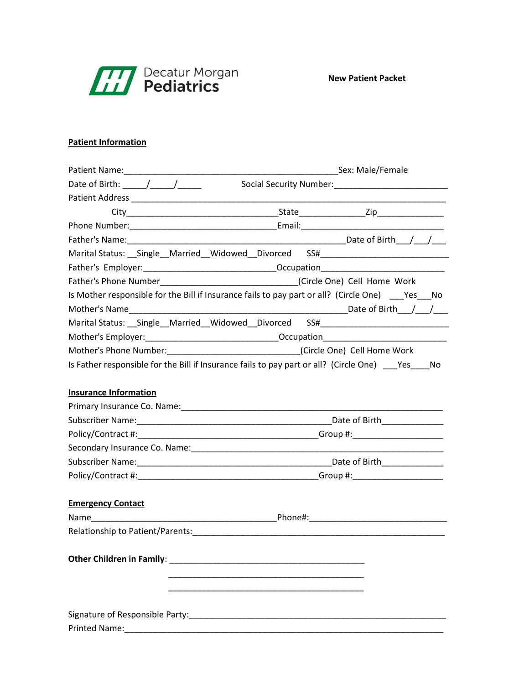

## **Patient Information**

| Date of Birth: $\sqrt{2}$                                                                                                                                                                                                      |  |
|--------------------------------------------------------------------------------------------------------------------------------------------------------------------------------------------------------------------------------|--|
|                                                                                                                                                                                                                                |  |
|                                                                                                                                                                                                                                |  |
|                                                                                                                                                                                                                                |  |
|                                                                                                                                                                                                                                |  |
| Marital Status: __Single __Married __Widowed __Divorced SS# ____________________                                                                                                                                               |  |
|                                                                                                                                                                                                                                |  |
| Father's Phone Number__________________________________(Circle One) Cell Home Work                                                                                                                                             |  |
| Is Mother responsible for the Bill if Insurance fails to pay part or all? (Circle One) Yes No                                                                                                                                  |  |
|                                                                                                                                                                                                                                |  |
| Marital Status: __Single__Married__Widowed__Divorced SS#________________________                                                                                                                                               |  |
|                                                                                                                                                                                                                                |  |
| Mother's Phone Number:_________________________________(Circle One) Cell Home Work                                                                                                                                             |  |
| Is Father responsible for the Bill if Insurance fails to pay part or all? (Circle One) _____ Yes _____ No                                                                                                                      |  |
| <b>Insurance Information</b>                                                                                                                                                                                                   |  |
|                                                                                                                                                                                                                                |  |
|                                                                                                                                                                                                                                |  |
|                                                                                                                                                                                                                                |  |
|                                                                                                                                                                                                                                |  |
|                                                                                                                                                                                                                                |  |
|                                                                                                                                                                                                                                |  |
| <b>Emergency Contact</b>                                                                                                                                                                                                       |  |
|                                                                                                                                                                                                                                |  |
| Relationship to Patient/Parents: Name of the Second Seconds and Seconds and Seconds and Seconds and Seconds and Seconds and Seconds and Seconds and Seconds and Seconds and Seconds and Seconds and Seconds and Seconds and Se |  |
|                                                                                                                                                                                                                                |  |
|                                                                                                                                                                                                                                |  |
|                                                                                                                                                                                                                                |  |
|                                                                                                                                                                                                                                |  |
|                                                                                                                                                                                                                                |  |
|                                                                                                                                                                                                                                |  |
|                                                                                                                                                                                                                                |  |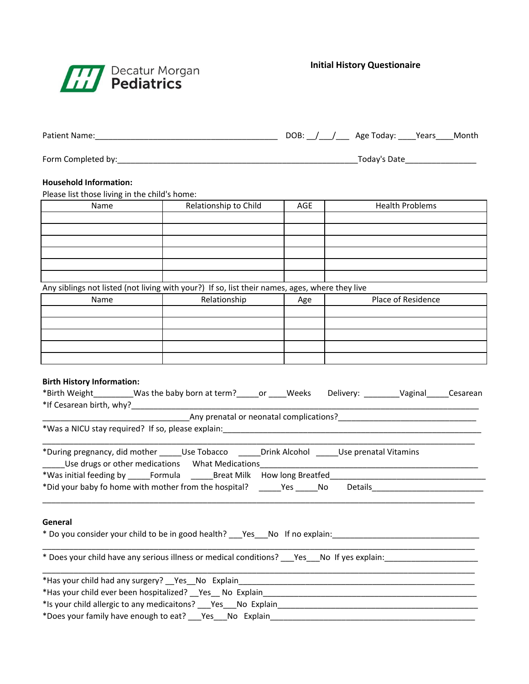

**Initial History Questionaire**

|                                                                                                                                                                                                                       |                                                                                                                                                                 |     | DOB: \_______________ Age Today: \______Years_____Month          |  |  |
|-----------------------------------------------------------------------------------------------------------------------------------------------------------------------------------------------------------------------|-----------------------------------------------------------------------------------------------------------------------------------------------------------------|-----|------------------------------------------------------------------|--|--|
|                                                                                                                                                                                                                       |                                                                                                                                                                 |     | _Today's Date____________________                                |  |  |
| <b>Household Information:</b><br>Please list those living in the child's home:                                                                                                                                        |                                                                                                                                                                 |     |                                                                  |  |  |
| Name                                                                                                                                                                                                                  | Relationship to Child                                                                                                                                           | AGE | <b>Health Problems</b>                                           |  |  |
|                                                                                                                                                                                                                       |                                                                                                                                                                 |     |                                                                  |  |  |
|                                                                                                                                                                                                                       |                                                                                                                                                                 |     |                                                                  |  |  |
|                                                                                                                                                                                                                       |                                                                                                                                                                 |     |                                                                  |  |  |
|                                                                                                                                                                                                                       |                                                                                                                                                                 |     |                                                                  |  |  |
| Any siblings not listed (not living with your?) If so, list their names, ages, where they live                                                                                                                        |                                                                                                                                                                 |     |                                                                  |  |  |
| Name                                                                                                                                                                                                                  | Relationship                                                                                                                                                    | Age | Place of Residence                                               |  |  |
|                                                                                                                                                                                                                       |                                                                                                                                                                 |     |                                                                  |  |  |
|                                                                                                                                                                                                                       |                                                                                                                                                                 |     |                                                                  |  |  |
| <b>Birth History Information:</b><br>*Birth Weight_________Was the baby born at term?_____or ____Weeks Delivery: ________Vaginal_____Cesarean                                                                         | Any prenatal or neonatal complications?<br><u> and the complications</u> and the contractions of the contract of the contract of the contract of the contract o |     |                                                                  |  |  |
| *During pregnancy, did mother ______Use Tobacco _______Drink Alcohol ______Use prenatal Vitamins<br>Use drugs or other medications What Medications [19] North Contractor Contractor Contractor Contractor Contractor |                                                                                                                                                                 |     |                                                                  |  |  |
| *Was initial feeding by _______Formula __________Breat Milk How long Breatfed ________________________________                                                                                                        |                                                                                                                                                                 |     |                                                                  |  |  |
| *Did your baby fo home with mother from the hospital? ______Yes _____No Details_______________________________                                                                                                        |                                                                                                                                                                 |     |                                                                  |  |  |
| General<br>* Do you consider your child to be in good health? Pessan No If no explain: Person number 2014                                                                                                             |                                                                                                                                                                 |     |                                                                  |  |  |
|                                                                                                                                                                                                                       |                                                                                                                                                                 |     |                                                                  |  |  |
| *Has your child had any surgery? __ Yes __ No Explain                                                                                                                                                                 |                                                                                                                                                                 |     | <u> 1989 - Johann John Stone, Amerikaansk politiker (* 1989)</u> |  |  |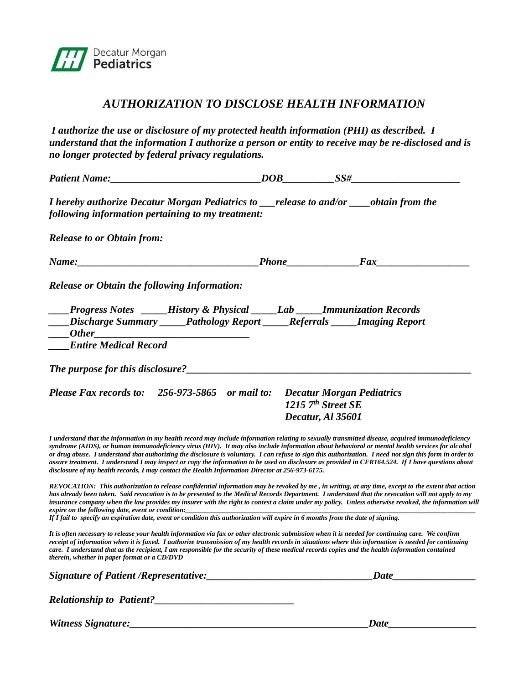

## *AUTHORIZATION TO DISCLOSE HEALTH INFORMATION*

*I authorize the use or disclosure of my protected health information (PHI) as described. I understand that the information I authorize a person or entity to receive may be re-disclosed and is no longer protected by federal privacy regulations.*

| Patient Name: Names                                                                                                                                                                                                                                                                                                                                                                                                                                                                                                                                                                                                                                                                                                      | $DOB$ $SS\#$                              |  |
|--------------------------------------------------------------------------------------------------------------------------------------------------------------------------------------------------------------------------------------------------------------------------------------------------------------------------------------------------------------------------------------------------------------------------------------------------------------------------------------------------------------------------------------------------------------------------------------------------------------------------------------------------------------------------------------------------------------------------|-------------------------------------------|--|
| I hereby authorize Decatur Morgan Pediatrics to ___release to and/or ____obtain from the<br>following information pertaining to my treatment:                                                                                                                                                                                                                                                                                                                                                                                                                                                                                                                                                                            |                                           |  |
| <b>Release to or Obtain from:</b>                                                                                                                                                                                                                                                                                                                                                                                                                                                                                                                                                                                                                                                                                        |                                           |  |
|                                                                                                                                                                                                                                                                                                                                                                                                                                                                                                                                                                                                                                                                                                                          |                                           |  |
| <b>Release or Obtain the following Information:</b>                                                                                                                                                                                                                                                                                                                                                                                                                                                                                                                                                                                                                                                                      |                                           |  |
| <b>Progress Notes</b> ____History & Physical ____Lab ____Immunization Records<br><b>____Discharge Summary _____Pathology Report _____Referrals _____Imaging Report</b><br><b>Entire Medical Record</b>                                                                                                                                                                                                                                                                                                                                                                                                                                                                                                                   |                                           |  |
| The purpose for this disclosure?<br><u> </u>                                                                                                                                                                                                                                                                                                                                                                                                                                                                                                                                                                                                                                                                             |                                           |  |
| Please Fax records to: 256-973-5865 or mail to: Decatur Morgan Pediatrics                                                                                                                                                                                                                                                                                                                                                                                                                                                                                                                                                                                                                                                | 1215 $7th$ Street SE<br>Decatur, Al 35601 |  |
| I understand that the information in my health record may include information relating to sexually transmitted disease, acquired immunodeficiency<br>syndrome (AIDS), or human immunodeficiency virus (HIV). It may also include information about behavioral or mental health services for alcohol<br>or drug abuse. I understand that authorizing the disclosure is voluntary. I can refuse to sign this authorization. I need not sign this form in order to<br>assure treatment. I understand I may inspect or copy the information to be used on disclosure as provided in CFR164.524. If I have questions about<br>disclosure of my health records, I may contact the Health Information Director at 256-973-6175. |                                           |  |
| REVOCATION: This authorization to release confidential information may be revoked by me, in writing, at any time, except to the extent that action<br>has already been taken. Said revocation is to be presented to the Medical Records Department. I understand that the revocation will not apply to my<br>insurance company when the law provides my insurer with the right to contest a claim under my policy. Unless otherwise revoked, the information will                                                                                                                                                                                                                                                        |                                           |  |

*expire on the following date, event or condition:\_\_\_\_\_\_\_\_\_\_\_\_\_\_\_\_\_\_\_\_\_\_\_\_\_\_\_\_\_\_\_\_\_\_\_\_\_\_\_\_\_\_\_\_\_\_\_\_\_\_\_\_\_\_\_\_\_\_\_\_\_\_\_\_\_\_\_\_\_\_\_\_\_\_\_\_\_\_\_\_\_\_\_\_ If I fail to specify an expiration date, event or condition this authorization will expire in 6 months from the date of signing.*

*It is often necessary to release your health information via fax or other electronic submission when it is needed for continuing care. We confirm receipt of information when it is faxed. I authorize transmission of my health records in situations where this information is needed for continuing care. I understand that as the recipient, I am responsible for the security of these medical records copies and the health information contained therein, whether in paper format or a CD/DVD*

| Signature of Patient / Representative: | Date |  |
|----------------------------------------|------|--|
| <b>Relationship to Patient?</b>        |      |  |
| Witness Signature:                     | Date |  |